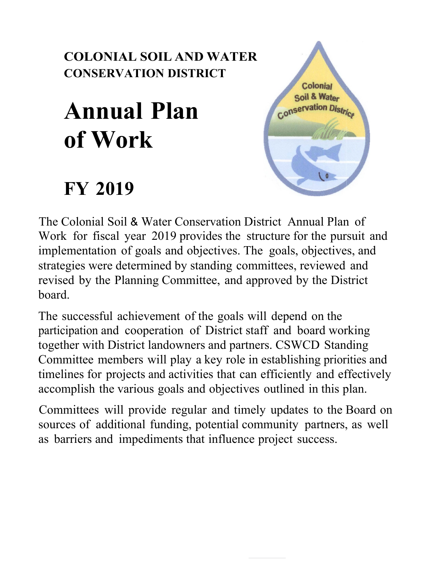## **COLONIAL SOIL AND WATER CONSERVATION DISTRICT**

# **Annual Plan of Work**

## **FY 2019**



The Colonial Soil & Water Conservation District Annual Plan of Work for fiscal year 2019 provides the structure for the pursuit and implementation of goals and objectives. The goals, objectives, and strategies were determined by standing committees, reviewed and revised by the Planning Committee, and approved by the District board.

The successful achievement of the goals will depend on the participation and cooperation of District staff and board working together with District landowners and partners. CSWCD Standing Committee members will play a key role in establishing priorities and timelines for projects and activities that can efficiently and effectively accomplish the various goals and objectives outlined in this plan.

Committees will provide regular and timely updates to the Board on sources of additional funding, potential community partners, as well as barriers and impediments that influence project success.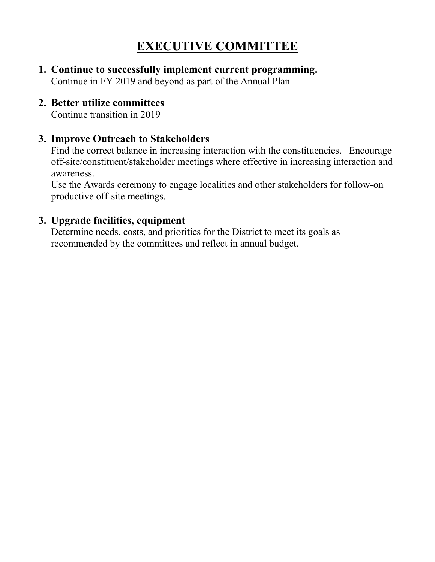## **EXECUTIVE COMMITTEE**

**1. Continue to successfully implement current programming.** Continue in FY 2019 and beyond as part of the Annual Plan

#### **2. Better utilize committees**

Continue transition in 2019

#### **3. Improve Outreach to Stakeholders**

Find the correct balance in increasing interaction with the constituencies. Encourage off-site/constituent/stakeholder meetings where effective in increasing interaction and awareness.

Use the Awards ceremony to engage localities and other stakeholders for follow-on productive off-site meetings.

#### **3. Upgrade facilities, equipment**

Determine needs, costs, and priorities for the District to meet its goals as recommended by the committees and reflect in annual budget.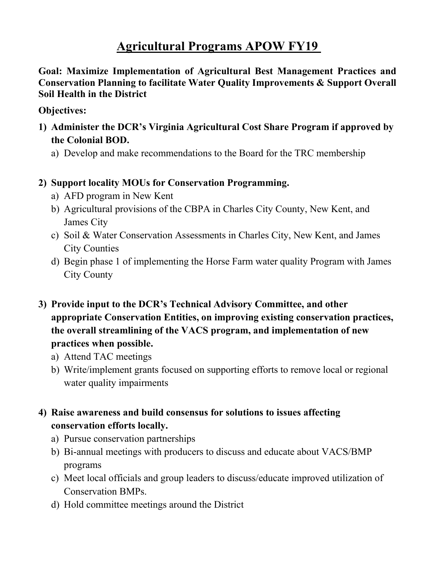## **Agricultural Programs APOW FY19**

**Goal: Maximize Implementation of Agricultural Best Management Practices and Conservation Planning to facilitate Water Quality Improvements & Support Overall Soil Health in the District**

#### **Objectives:**

- **1) Administer the DCR's Virginia Agricultural Cost Share Program if approved by the Colonial BOD.**
	- a) Develop and make recommendations to the Board for the TRC membership
- **2) Support locality MOUs for Conservation Programming.** 
	- a) AFD program in New Kent
	- b) Agricultural provisions of the CBPA in Charles City County, New Kent, and James City
	- c) Soil & Water Conservation Assessments in Charles City, New Kent, and James City Counties
	- d) Begin phase 1 of implementing the Horse Farm water quality Program with James City County
- **3) Provide input to the DCR's Technical Advisory Committee, and other appropriate Conservation Entities, on improving existing conservation practices, the overall streamlining of the VACS program, and implementation of new practices when possible.**
	- a) Attend TAC meetings
	- b) Write/implement grants focused on supporting efforts to remove local or regional water quality impairments

#### **4) Raise awareness and build consensus for solutions to issues affecting conservation efforts locally.**

- a) Pursue conservation partnerships
- b) Bi-annual meetings with producers to discuss and educate about VACS/BMP programs
- c) Meet local officials and group leaders to discuss/educate improved utilization of Conservation BMPs.
- d) Hold committee meetings around the District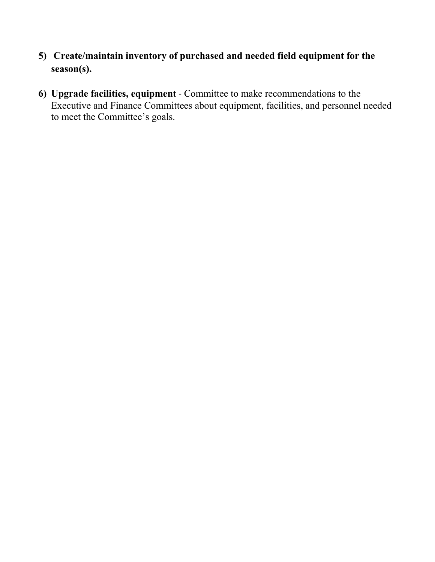- **5) Create/maintain inventory of purchased and needed field equipment for the season(s).**
- **6) Upgrade facilities, equipment** Committee to make recommendations to the Executive and Finance Committees about equipment, facilities, and personnel needed to meet the Committee's goals.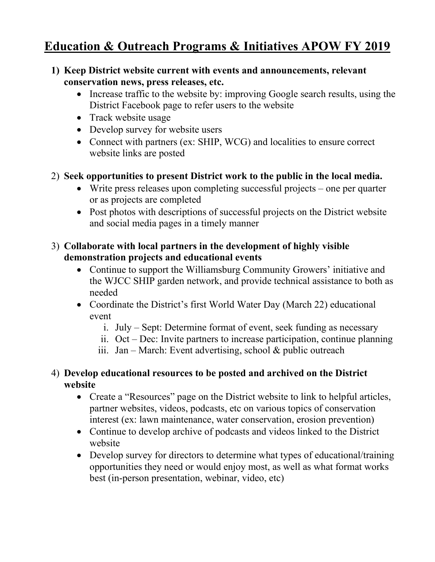## **Education & Outreach Programs & Initiatives APOW FY 2019**

- **1) Keep District website current with events and announcements, relevant conservation news, press releases, etc.**
	- Increase traffic to the website by: improving Google search results, using the District Facebook page to refer users to the website
	- Track website usage
	- Develop survey for website users
	- Connect with partners (ex: SHIP, WCG) and localities to ensure correct website links are posted
- 2) **Seek opportunities to present District work to the public in the local media.**
	- Write press releases upon completing successful projects one per quarter or as projects are completed
	- Post photos with descriptions of successful projects on the District website and social media pages in a timely manner

#### 3) **Collaborate with local partners in the development of highly visible demonstration projects and educational events**

- Continue to support the Williamsburg Community Growers' initiative and the WJCC SHIP garden network, and provide technical assistance to both as needed
- Coordinate the District's first World Water Day (March 22) educational event
	- i. July Sept: Determine format of event, seek funding as necessary
	- ii. Oct Dec: Invite partners to increase participation, continue planning
	- iii. Jan March: Event advertising, school  $\&$  public outreach

#### 4) **Develop educational resources to be posted and archived on the District website**

- Create a "Resources" page on the District website to link to helpful articles, partner websites, videos, podcasts, etc on various topics of conservation interest (ex: lawn maintenance, water conservation, erosion prevention)
- Continue to develop archive of podcasts and videos linked to the District website
- Develop survey for directors to determine what types of educational/training opportunities they need or would enjoy most, as well as what format works best (in-person presentation, webinar, video, etc)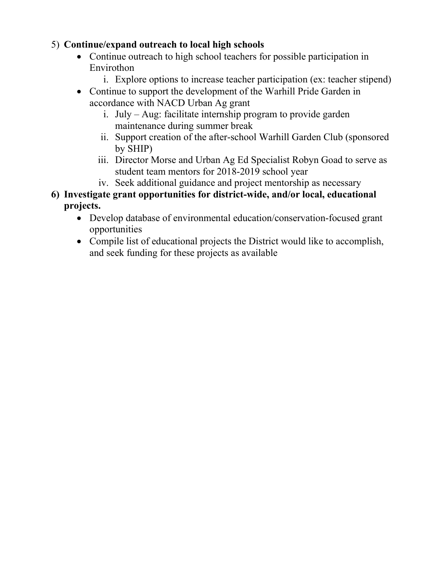#### 5) **Continue/expand outreach to local high schools**

- Continue outreach to high school teachers for possible participation in Envirothon
	- i. Explore options to increase teacher participation (ex: teacher stipend)
- Continue to support the development of the Warhill Pride Garden in accordance with NACD Urban Ag grant
	- i. July Aug: facilitate internship program to provide garden maintenance during summer break
	- ii. Support creation of the after-school Warhill Garden Club (sponsored by SHIP)
	- iii. Director Morse and Urban Ag Ed Specialist Robyn Goad to serve as student team mentors for 2018-2019 school year
	- iv. Seek additional guidance and project mentorship as necessary
- **6) Investigate grant opportunities for district-wide, and/or local, educational projects.**
	- Develop database of environmental education/conservation-focused grant opportunities
	- Compile list of educational projects the District would like to accomplish, and seek funding for these projects as available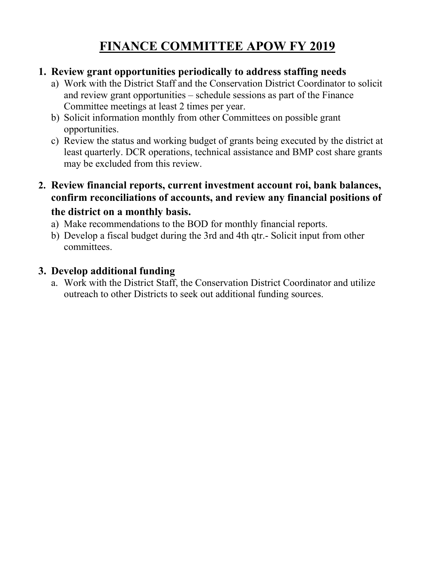## **FINANCE COMMITTEE APOW FY 2019**

#### **1. Review grant opportunities periodically to address staffing needs**

- a) Work with the District Staff and the Conservation District Coordinator to solicit and review grant opportunities – schedule sessions as part of the Finance Committee meetings at least 2 times per year.
- b) Solicit information monthly from other Committees on possible grant opportunities.
- c) Review the status and working budget of grants being executed by the district at least quarterly. DCR operations, technical assistance and BMP cost share grants may be excluded from this review.
- **2. Review financial reports, current investment account roi, bank balances, confirm reconciliations of accounts, and review any financial positions of the district on a monthly basis.**
	- a) Make recommendations to the BOD for monthly financial reports.
	- b) Develop a fiscal budget during the 3rd and 4th qtr.- Solicit input from other committees.

#### **3. Develop additional funding**

a. Work with the District Staff, the Conservation District Coordinator and utilize outreach to other Districts to seek out additional funding sources.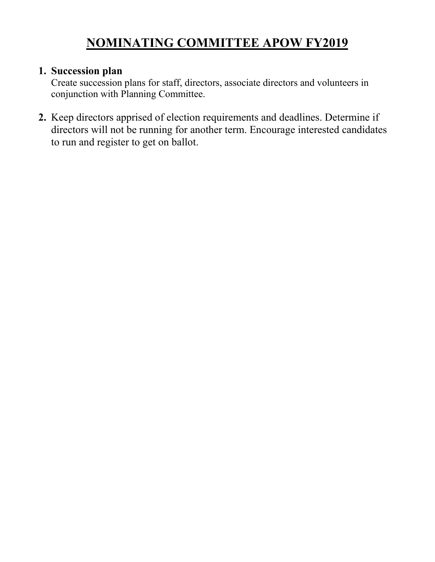## **NOMINATING COMMITTEE APOW FY2019**

#### **1. Succession plan**

Create succession plans for staff, directors, associate directors and volunteers in conjunction with Planning Committee.

**2.** Keep directors apprised of election requirements and deadlines. Determine if directors will not be running for another term. Encourage interested candidates to run and register to get on ballot.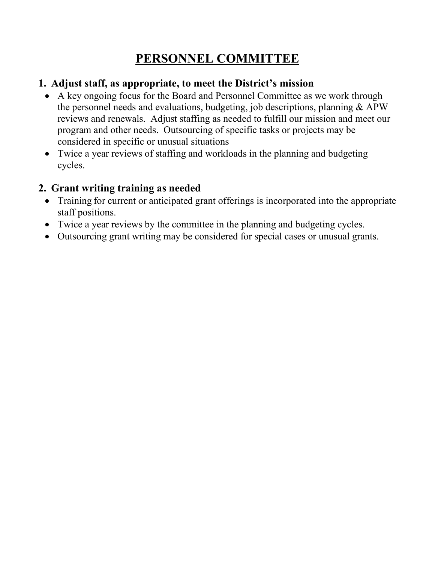## **PERSONNEL COMMITTEE**

#### **1. Adjust staff, as appropriate, to meet the District's mission**

- A key ongoing focus for the Board and Personnel Committee as we work through the personnel needs and evaluations, budgeting, job descriptions, planning & APW reviews and renewals. Adjust staffing as needed to fulfill our mission and meet our program and other needs. Outsourcing of specific tasks or projects may be considered in specific or unusual situations
- Twice a year reviews of staffing and workloads in the planning and budgeting cycles.

#### **2. Grant writing training as needed**

- Training for current or anticipated grant offerings is incorporated into the appropriate staff positions.
- Twice a year reviews by the committee in the planning and budgeting cycles.
- Outsourcing grant writing may be considered for special cases or unusual grants.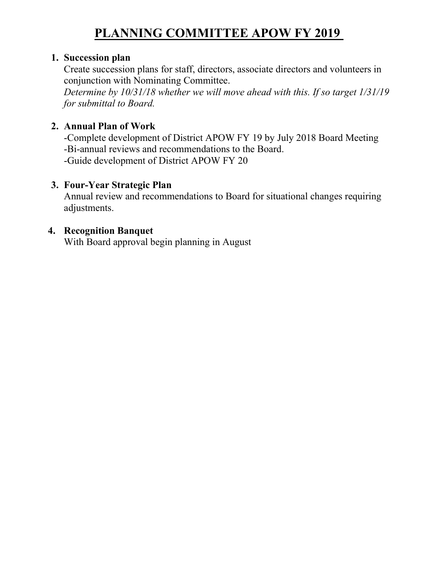## **PLANNING COMMITTEE APOW FY 2019**

#### **1. Succession plan**

Create succession plans for staff, directors, associate directors and volunteers in conjunction with Nominating Committee.

*Determine by 10/31/18 whether we will move ahead with this. If so target 1/31/19 for submittal to Board.*

#### **2. Annual Plan of Work**

-Complete development of District APOW FY 19 by July 2018 Board Meeting -Bi-annual reviews and recommendations to the Board. -Guide development of District APOW FY 20

#### **3. Four-Year Strategic Plan**

Annual review and recommendations to Board for situational changes requiring adjustments.

#### **4. Recognition Banquet**

With Board approval begin planning in August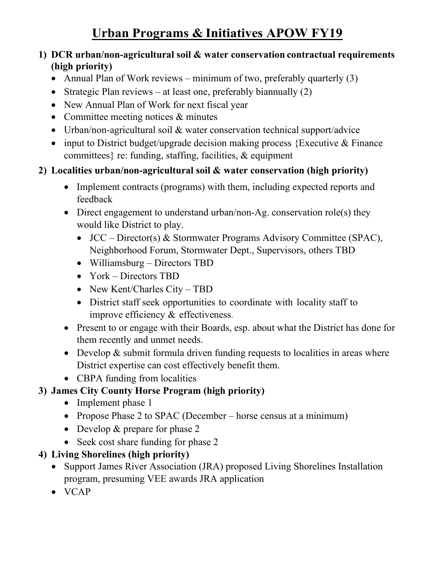## **Urban Programs & Initiatives APOW FY19**

#### **1) DCR urban/non-agricultural soil & water conservation contractual requirements (high priority)**

- Annual Plan of Work reviews minimum of two, preferably quarterly (3)
- Strategic Plan reviews at least one, preferably biannually (2)
- New Annual Plan of Work for next fiscal year
- Committee meeting notices & minutes
- Urban/non-agricultural soil & water conservation technical support/advice
- input to District budget/upgrade decision making process {Executive & Finance committees} re: funding, staffing, facilities, & equipment

#### **2) Localities urban/non-agricultural soil & water conservation (high priority)**

- Implement contracts (programs) with them, including expected reports and feedback
- Direct engagement to understand urban/non-Ag. conservation role(s) they would like District to play.
	- JCC Director(s) & Stormwater Programs Advisory Committee (SPAC), Neighborhood Forum, Stormwater Dept., Supervisors, others TBD
	- Williamsburg Directors TBD
	- York Directors TBD
	- New Kent/Charles City TBD
	- District staff seek opportunities to coordinate with locality staff to improve efficiency & effectiveness.
- Present to or engage with their Boards, esp. about what the District has done for them recently and unmet needs.
- Develop & submit formula driven funding requests to localities in areas where District expertise can cost effectively benefit them.
- CBPA funding from localities

#### **3) James City County Horse Program (high priority)**

- Implement phase 1
- Propose Phase 2 to SPAC (December horse census at a minimum)
- Develop & prepare for phase 2
- Seek cost share funding for phase 2

#### **4) Living Shorelines (high priority)**

- Support James River Association (JRA) proposed Living Shorelines Installation program, presuming VEE awards JRA application
- VCAP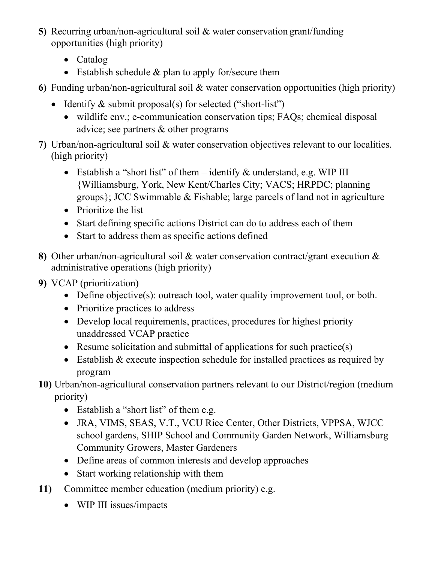- **5)** Recurring urban/non-agricultural soil & water conservation grant/funding opportunities (high priority)
	- Catalog
	- Establish schedule & plan to apply for/secure them
- **6)** Funding urban/non-agricultural soil & water conservation opportunities (high priority)
	- Identify & submit proposal(s) for selected ("short-list")
		- wildlife env.; e-communication conservation tips; FAQs; chemical disposal advice; see partners & other programs
- **7)** Urban/non-agricultural soil & water conservation objectives relevant to our localities. (high priority)
	- Establish a "short list" of them identify & understand, e.g. WIP III {Williamsburg, York, New Kent/Charles City; VACS; HRPDC; planning groups}; JCC Swimmable & Fishable; large parcels of land not in agriculture
	- Prioritize the list
	- Start defining specific actions District can do to address each of them
	- Start to address them as specific actions defined
- **8)** Other urban/non-agricultural soil & water conservation contract/grant execution & administrative operations (high priority)
- **9)** VCAP (prioritization)
	- Define objective(s): outreach tool, water quality improvement tool, or both.
	- Prioritize practices to address
	- Develop local requirements, practices, procedures for highest priority unaddressed VCAP practice
	- Resume solicitation and submittal of applications for such practice(s)
	- Establish & execute inspection schedule for installed practices as required by program
- **10)** Urban/non-agricultural conservation partners relevant to our District/region (medium priority)
	- Establish a "short list" of them e.g.
	- JRA, VIMS, SEAS, V.T., VCU Rice Center, Other Districts, VPPSA, WJCC school gardens, SHIP School and Community Garden Network, Williamsburg Community Growers, Master Gardeners
	- Define areas of common interests and develop approaches
	- Start working relationship with them
- **11)** Committee member education (medium priority) e.g.
	- WIP III issues/impacts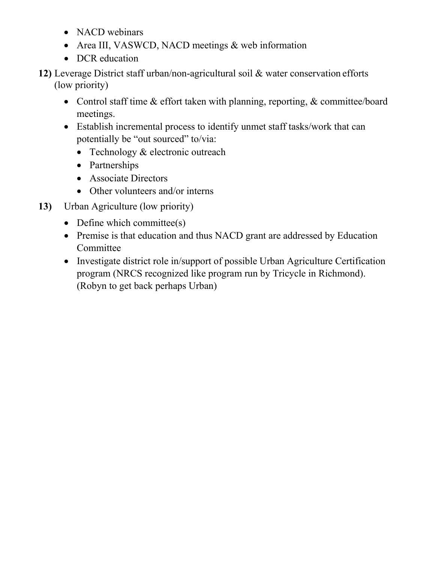- NACD webinars
- Area III, VASWCD, NACD meetings & web information
- DCR education
- **12)** Leverage District staff urban/non-agricultural soil & water conservation efforts (low priority)
	- Control staff time & effort taken with planning, reporting, & committee/board meetings.
	- Establish incremental process to identify unmet staff tasks/work that can potentially be "out sourced" to/via:
		- Technology & electronic outreach
		- Partnerships
		- Associate Directors
		- Other volunteers and/or interns
- **13)** Urban Agriculture (low priority)
	- Define which committee(s)
	- Premise is that education and thus NACD grant are addressed by Education Committee
	- Investigate district role in/support of possible Urban Agriculture Certification program (NRCS recognized like program run by Tricycle in Richmond). (Robyn to get back perhaps Urban)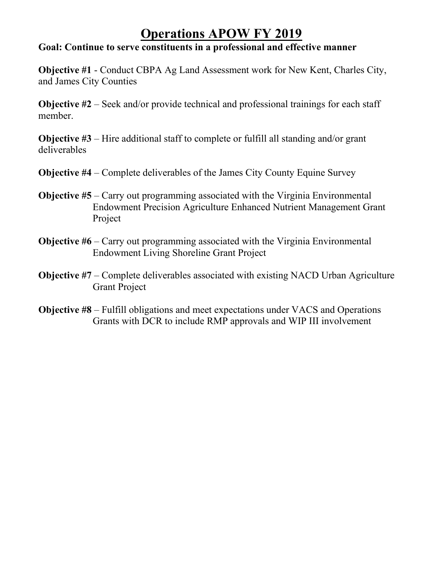### **Operations APOW FY 2019**

#### **Goal: Continue to serve constituents in a professional and effective manner**

**Objective #1** - Conduct CBPA Ag Land Assessment work for New Kent, Charles City, and James City Counties

**Objective #2** – Seek and/or provide technical and professional trainings for each staff member.

**Objective #3** – Hire additional staff to complete or fulfill all standing and/or grant deliverables

- **Objective #4** Complete deliverables of the James City County Equine Survey
- **Objective #5** Carry out programming associated with the Virginia Environmental Endowment Precision Agriculture Enhanced Nutrient Management Grant Project
- **Objective #6** Carry out programming associated with the Virginia Environmental Endowment Living Shoreline Grant Project
- **Objective #7** Complete deliverables associated with existing NACD Urban Agriculture Grant Project
- **Objective #8**  Fulfill obligations and meet expectations under VACS and Operations Grants with DCR to include RMP approvals and WIP III involvement